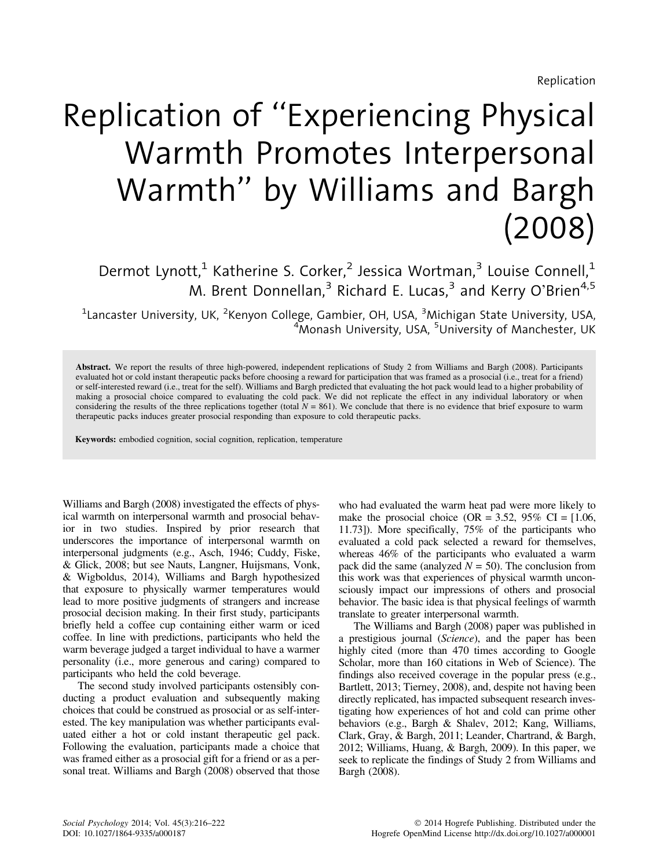# Replication of ''Experiencing Physical Warmth Promotes Interpersonal Warmth'' by Williams and Bargh (2008)

Dermot Lynott,<sup>1</sup> Katherine S. Corker,<sup>2</sup> Jessica Wortman,<sup>3</sup> Louise Connell,<sup>1</sup> M. Brent Donnellan,<sup>3</sup> Richard E. Lucas,<sup>3</sup> and Kerry O'Brien<sup>4,5</sup>

 $^{\text{1}}$ Lancaster University, UK,  $^{\text{2}}$ Kenyon College, Gambier, OH, USA,  $^{\text{3}}$ Michigan State University, USA, <sup>4</sup>Monash University, USA, <sup>5</sup>University of Manchester, UK

Abstract. We report the results of three high-powered, independent replications of Study 2 from Williams and Bargh (2008). Participants evaluated hot or cold instant therapeutic packs before choosing a reward for participation that was framed as a prosocial (i.e., treat for a friend) or self-interested reward (i.e., treat for the self). Williams and Bargh predicted that evaluating the hot pack would lead to a higher probability of making a prosocial choice compared to evaluating the cold pack. We did not replicate the effect in any individual laboratory or when considering the results of the three replications together (total  $N = 861$ ). We conclude that there is no evidence that brief exposure to warm therapeutic packs induces greater prosocial responding than exposure to cold therapeutic packs.

Keywords: embodied cognition, social cognition, replication, temperature

Williams and Bargh (2008) investigated the effects of physical warmth on interpersonal warmth and prosocial behavior in two studies. Inspired by prior research that underscores the importance of interpersonal warmth on interpersonal judgments (e.g., Asch, 1946; Cuddy, Fiske, & Glick, 2008; but see Nauts, Langner, Huijsmans, Vonk, & Wigboldus, 2014), Williams and Bargh hypothesized that exposure to physically warmer temperatures would lead to more positive judgments of strangers and increase prosocial decision making. In their first study, participants briefly held a coffee cup containing either warm or iced coffee. In line with predictions, participants who held the warm beverage judged a target individual to have a warmer personality (i.e., more generous and caring) compared to participants who held the cold beverage.

The second study involved participants ostensibly conducting a product evaluation and subsequently making choices that could be construed as prosocial or as self-interested. The key manipulation was whether participants evaluated either a hot or cold instant therapeutic gel pack. Following the evaluation, participants made a choice that was framed either as a prosocial gift for a friend or as a personal treat. Williams and Bargh (2008) observed that those

who had evaluated the warm heat pad were more likely to make the prosocial choice (OR =  $3.52$ ,  $95\%$  CI =  $[1.06]$ , 11.73]). More specifically, 75% of the participants who evaluated a cold pack selected a reward for themselves, whereas 46% of the participants who evaluated a warm pack did the same (analyzed  $N = 50$ ). The conclusion from this work was that experiences of physical warmth unconsciously impact our impressions of others and prosocial behavior. The basic idea is that physical feelings of warmth translate to greater interpersonal warmth.

The Williams and Bargh (2008) paper was published in a prestigious journal (Science), and the paper has been highly cited (more than 470 times according to Google Scholar, more than 160 citations in Web of Science). The findings also received coverage in the popular press (e.g., Bartlett, 2013; Tierney, 2008), and, despite not having been directly replicated, has impacted subsequent research investigating how experiences of hot and cold can prime other behaviors (e.g., Bargh & Shalev, 2012; Kang, Williams, Clark, Gray, & Bargh, 2011; Leander, Chartrand, & Bargh, 2012; Williams, Huang, & Bargh, 2009). In this paper, we seek to replicate the findings of Study 2 from Williams and Bargh (2008).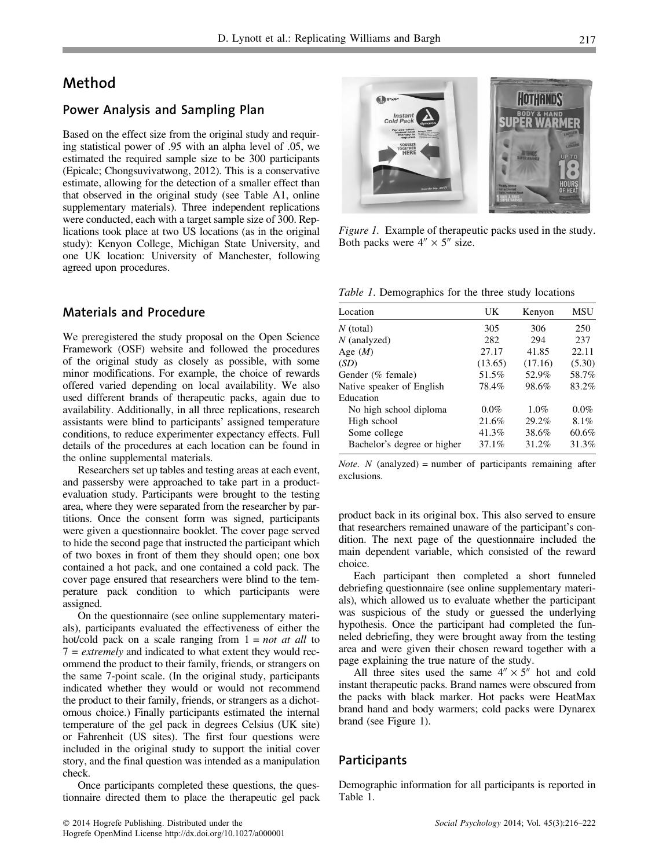## Method

#### Power Analysis and Sampling Plan

Based on the effect size from the original study and requiring statistical power of .95 with an alpha level of .05, we estimated the required sample size to be 300 participants (Epicalc; Chongsuvivatwong, 2012). This is a conservative estimate, allowing for the detection of a smaller effect than that observed in the original study (see Table A1, online supplementary materials). Three independent replications were conducted, each with a target sample size of 300. Replications took place at two US locations (as in the original study): Kenyon College, Michigan State University, and one UK location: University of Manchester, following agreed upon procedures.

## Materials and Procedure

We preregistered the study proposal on the Open Science Framework (OSF) website and followed the procedures of the original study as closely as possible, with some minor modifications. For example, the choice of rewards offered varied depending on local availability. We also used different brands of therapeutic packs, again due to availability. Additionally, in all three replications, research assistants were blind to participants' assigned temperature conditions, to reduce experimenter expectancy effects. Full details of the procedures at each location can be found in the online supplemental materials.

Researchers set up tables and testing areas at each event, and passersby were approached to take part in a productevaluation study. Participants were brought to the testing area, where they were separated from the researcher by partitions. Once the consent form was signed, participants were given a questionnaire booklet. The cover page served to hide the second page that instructed the participant which of two boxes in front of them they should open; one box contained a hot pack, and one contained a cold pack. The cover page ensured that researchers were blind to the temperature pack condition to which participants were assigned.

On the questionnaire (see online supplementary materials), participants evaluated the effectiveness of either the hot/cold pack on a scale ranging from  $1 = not$  at all to  $7 = extremely$  and indicated to what extent they would recommend the product to their family, friends, or strangers on the same 7-point scale. (In the original study, participants indicated whether they would or would not recommend the product to their family, friends, or strangers as a dichotomous choice.) Finally participants estimated the internal temperature of the gel pack in degrees Celsius (UK site) or Fahrenheit (US sites). The first four questions were included in the original study to support the initial cover story, and the final question was intended as a manipulation check.

Once participants completed these questions, the questionnaire directed them to place the therapeutic gel pack



Figure 1. Example of therapeutic packs used in the study. Both packs were  $4'' \times 5''$  size.

Table 1. Demographics for the three study locations

| Location                    | UK       | Kenyon  | MSU    |
|-----------------------------|----------|---------|--------|
| $N$ (total)                 | 305      | 306     | 250    |
| $N$ (analyzed)              | 282      | 294     | 237    |
| Age $(M)$                   | 27.17    | 41.85   | 22.11  |
| (SD)                        | (13.65)  | (17.16) | (5.30) |
| Gender (% female)           | 51.5%    | 52.9%   | 58.7%  |
| Native speaker of English   | 78.4%    | 98.6%   | 83.2%  |
| Education                   |          |         |        |
| No high school diploma      | $0.0\%$  | 1.0%    | 0.0%   |
| High school                 | 21.6%    | 29.2%   | 8.1%   |
| Some college                | 41.3%    | 38.6%   | 60.6%  |
| Bachelor's degree or higher | $37.1\%$ | 31.2%   | 31.3%  |
|                             |          |         |        |

*Note.*  $N$  (analyzed) = number of participants remaining after exclusions.

product back in its original box. This also served to ensure that researchers remained unaware of the participant's condition. The next page of the questionnaire included the main dependent variable, which consisted of the reward choice.

Each participant then completed a short funneled debriefing questionnaire (see online supplementary materials), which allowed us to evaluate whether the participant was suspicious of the study or guessed the underlying hypothesis. Once the participant had completed the funneled debriefing, they were brought away from the testing area and were given their chosen reward together with a page explaining the true nature of the study.

All three sites used the same  $4'' \times 5''$  hot and cold instant therapeutic packs. Brand names were obscured from the packs with black marker. Hot packs were HeatMax brand hand and body warmers; cold packs were Dynarex brand (see Figure 1).

#### Participants

Demographic information for all participants is reported in Table 1.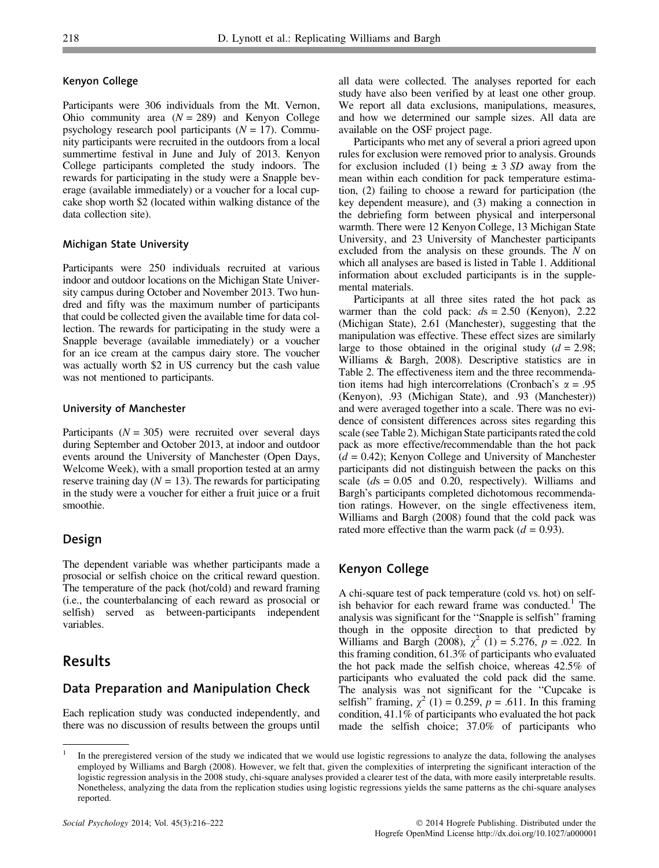#### Kenyon College

Participants were 306 individuals from the Mt. Vernon, Ohio community area  $(N = 289)$  and Kenyon College psychology research pool participants  $(N = 17)$ . Community participants were recruited in the outdoors from a local summertime festival in June and July of 2013. Kenyon College participants completed the study indoors. The rewards for participating in the study were a Snapple beverage (available immediately) or a voucher for a local cupcake shop worth \$2 (located within walking distance of the data collection site).

#### Michigan State University

Participants were 250 individuals recruited at various indoor and outdoor locations on the Michigan State University campus during October and November 2013. Two hundred and fifty was the maximum number of participants that could be collected given the available time for data collection. The rewards for participating in the study were a Snapple beverage (available immediately) or a voucher for an ice cream at the campus dairy store. The voucher was actually worth \$2 in US currency but the cash value was not mentioned to participants.

#### University of Manchester

Participants ( $N = 305$ ) were recruited over several days during September and October 2013, at indoor and outdoor events around the University of Manchester (Open Days, Welcome Week), with a small proportion tested at an army reserve training day  $(N = 13)$ . The rewards for participating in the study were a voucher for either a fruit juice or a fruit smoothie.

## Design

The dependent variable was whether participants made a prosocial or selfish choice on the critical reward question. The temperature of the pack (hot/cold) and reward framing (i.e., the counterbalancing of each reward as prosocial or selfish) served as between-participants independent variables.

## Results

## Data Preparation and Manipulation Check

Each replication study was conducted independently, and there was no discussion of results between the groups until all data were collected. The analyses reported for each study have also been verified by at least one other group. We report all data exclusions, manipulations, measures, and how we determined our sample sizes. All data are available on the OSF project page.

Participants who met any of several a priori agreed upon rules for exclusion were removed prior to analysis. Grounds for exclusion included (1) being  $\pm$  3 SD away from the mean within each condition for pack temperature estimation, (2) failing to choose a reward for participation (the key dependent measure), and (3) making a connection in the debriefing form between physical and interpersonal warmth. There were 12 Kenyon College, 13 Michigan State University, and 23 University of Manchester participants excluded from the analysis on these grounds. The N on which all analyses are based is listed in Table 1. Additional information about excluded participants is in the supplemental materials.

Participants at all three sites rated the hot pack as warmer than the cold pack:  $ds = 2.50$  (Kenyon), 2.22 (Michigan State), 2.61 (Manchester), suggesting that the manipulation was effective. These effect sizes are similarly large to those obtained in the original study  $(d = 2.98)$ ; Williams & Bargh, 2008). Descriptive statistics are in Table 2. The effectiveness item and the three recommendation items had high intercorrelations (Cronbach's  $\alpha = .95$ (Kenyon), .93 (Michigan State), and .93 (Manchester)) and were averaged together into a scale. There was no evidence of consistent differences across sites regarding this scale (see Table 2). Michigan State participants rated the cold pack as more effective/recommendable than the hot pack  $(d = 0.42)$ ; Kenyon College and University of Manchester participants did not distinguish between the packs on this scale  $(ds = 0.05$  and 0.20, respectively). Williams and Bargh's participants completed dichotomous recommendation ratings. However, on the single effectiveness item, Williams and Bargh (2008) found that the cold pack was rated more effective than the warm pack  $(d = 0.93)$ .

## Kenyon College

A chi-square test of pack temperature (cold vs. hot) on selfish behavior for each reward frame was conducted. $<sup>1</sup>$  The</sup> analysis was significant for the ''Snapple is selfish'' framing though in the opposite direction to that predicted by Williams and Bargh (2008),  $\chi^2$  (1) = 5.276, p = .022. In this framing condition, 61.3% of participants who evaluated the hot pack made the selfish choice, whereas 42.5% of participants who evaluated the cold pack did the same. The analysis was not significant for the ''Cupcake is selfish" framing,  $\chi^2$  (1) = 0.259, p = .611. In this framing condition, 41.1% of participants who evaluated the hot pack made the selfish choice; 37.0% of participants who

<sup>1</sup> In the preregistered version of the study we indicated that we would use logistic regressions to analyze the data, following the analyses employed by Williams and Bargh (2008). However, we felt that, given the complexities of interpreting the significant interaction of the logistic regression analysis in the 2008 study, chi-square analyses provided a clearer test of the data, with more easily interpretable results. Nonetheless, analyzing the data from the replication studies using logistic regressions yields the same patterns as the chi-square analyses reported.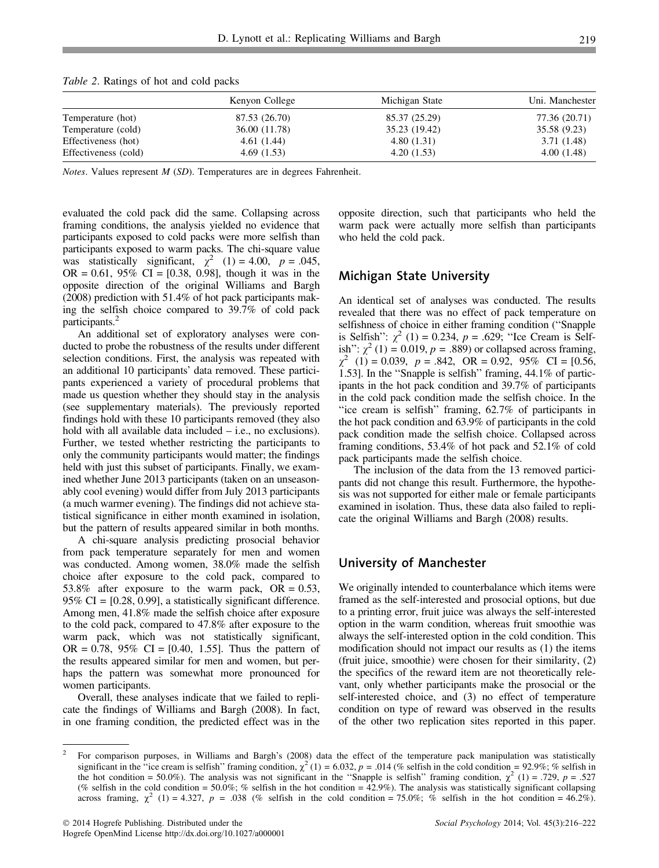|                      | Kenyon College | Michigan State | Uni. Manchester |
|----------------------|----------------|----------------|-----------------|
| Temperature (hot)    | 87.53 (26.70)  | 85.37 (25.29)  | 77.36 (20.71)   |
| Temperature (cold)   | 36.00 (11.78)  | 35.23 (19.42)  | 35.58 (9.23)    |
| Effectiveness (hot)  | 4.61(1.44)     | 4.80(1.31)     | 3.71 (1.48)     |
| Effectiveness (cold) | 4.69(1.53)     | 4.20(1.53)     | 4.00(1.48)      |
|                      |                |                |                 |

Table 2. Ratings of hot and cold packs

Notes. Values represent M (SD). Temperatures are in degrees Fahrenheit.

evaluated the cold pack did the same. Collapsing across framing conditions, the analysis yielded no evidence that participants exposed to cold packs were more selfish than participants exposed to warm packs. The chi-square value was statistically significant,  $\chi^2$  (1) = 4.00, p = .045, OR = 0.61, 95% CI = [0.38, 0.98], though it was in the opposite direction of the original Williams and Bargh (2008) prediction with 51.4% of hot pack participants making the selfish choice compared to 39.7% of cold pack participants.<sup>2</sup>

An additional set of exploratory analyses were conducted to probe the robustness of the results under different selection conditions. First, the analysis was repeated with an additional 10 participants' data removed. These participants experienced a variety of procedural problems that made us question whether they should stay in the analysis (see supplementary materials). The previously reported findings hold with these 10 participants removed (they also hold with all available data included – i.e., no exclusions). Further, we tested whether restricting the participants to only the community participants would matter; the findings held with just this subset of participants. Finally, we examined whether June 2013 participants (taken on an unseasonably cool evening) would differ from July 2013 participants (a much warmer evening). The findings did not achieve statistical significance in either month examined in isolation, but the pattern of results appeared similar in both months.

A chi-square analysis predicting prosocial behavior from pack temperature separately for men and women was conducted. Among women, 38.0% made the selfish choice after exposure to the cold pack, compared to 53.8% after exposure to the warm pack,  $OR = 0.53$ , 95% CI = [0.28, 0.99], a statistically significant difference. Among men, 41.8% made the selfish choice after exposure to the cold pack, compared to 47.8% after exposure to the warm pack, which was not statistically significant, OR = 0.78, 95% CI = [0.40, 1.55]. Thus the pattern of the results appeared similar for men and women, but perhaps the pattern was somewhat more pronounced for women participants.

Overall, these analyses indicate that we failed to replicate the findings of Williams and Bargh (2008). In fact, in one framing condition, the predicted effect was in the opposite direction, such that participants who held the warm pack were actually more selfish than participants who held the cold pack.

#### Michigan State University

An identical set of analyses was conducted. The results revealed that there was no effect of pack temperature on selfishness of choice in either framing condition (''Snapple is Selfish'':  $\chi^2$  (1) = 0.234, p = .629; "Ice Cream is Selfish":  $\chi^2$  (1) = 0.019, p = .889) or collapsed across framing,  $\chi^2$  (1) = 0.039, p = .842, OR = 0.92, 95% CI = [0.56, 1.53]. In the ''Snapple is selfish'' framing, 44.1% of participants in the hot pack condition and 39.7% of participants in the cold pack condition made the selfish choice. In the ''ice cream is selfish'' framing, 62.7% of participants in the hot pack condition and 63.9% of participants in the cold pack condition made the selfish choice. Collapsed across framing conditions, 53.4% of hot pack and 52.1% of cold pack participants made the selfish choice.

The inclusion of the data from the 13 removed participants did not change this result. Furthermore, the hypothesis was not supported for either male or female participants examined in isolation. Thus, these data also failed to replicate the original Williams and Bargh (2008) results.

## University of Manchester

We originally intended to counterbalance which items were framed as the self-interested and prosocial options, but due to a printing error, fruit juice was always the self-interested option in the warm condition, whereas fruit smoothie was always the self-interested option in the cold condition. This modification should not impact our results as (1) the items (fruit juice, smoothie) were chosen for their similarity, (2) the specifics of the reward item are not theoretically relevant, only whether participants make the prosocial or the self-interested choice, and (3) no effect of temperature condition on type of reward was observed in the results of the other two replication sites reported in this paper.

<sup>2</sup> For comparison purposes, in Williams and Bargh's (2008) data the effect of the temperature pack manipulation was statistically significant in the "ice cream is selfish" framing condition,  $\chi^2$  (1) = 6.032, p = .014 (% selfish in the cold condition = 92.9%; % selfish in the hot condition = 50.0%). The analysis was not significant in the "Snapple is selfish" framing condition,  $\chi^2$  (1) = .729, p = .527 (% selfish in the cold condition = 50.0%; % selfish in the hot condition = 42.9%). The analysis was statistically significant collapsing across framing,  $\chi^2$  (1) = 4.327, p = .038 (% selfish in the cold condition = 75.0%; % selfish in the hot condition = 46.2%).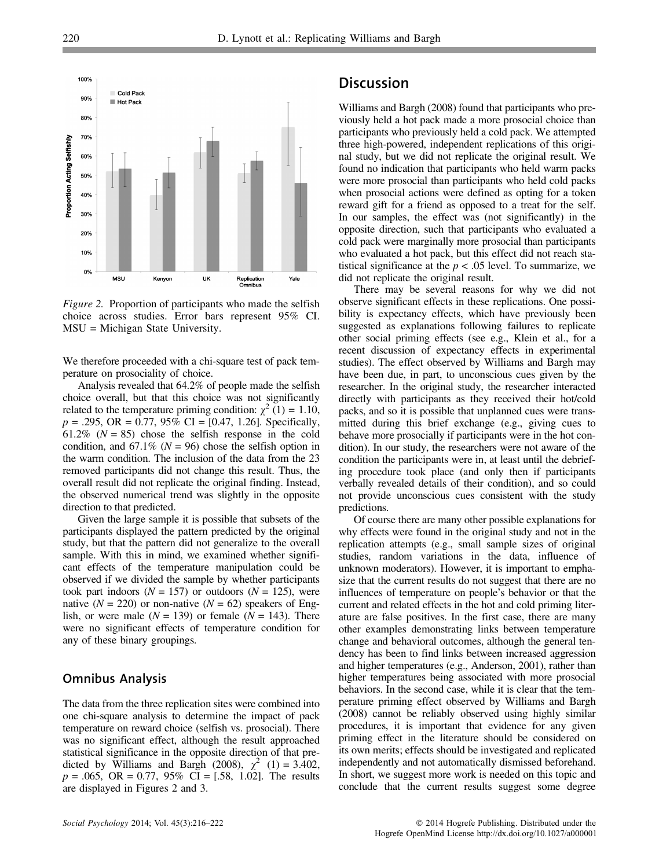

Figure 2. Proportion of participants who made the selfish choice across studies. Error bars represent 95% CI. MSU = Michigan State University.

We therefore proceeded with a chi-square test of pack temperature on prosociality of choice.

Analysis revealed that 64.2% of people made the selfish choice overall, but that this choice was not significantly related to the temperature priming condition:  $\chi^2$  (1) = 1.10,  $p = .295$ , OR = 0.77, 95% CI = [0.47, 1.26]. Specifically, 61.2% ( $N = 85$ ) chose the selfish response in the cold condition, and 67.1% ( $N = 96$ ) chose the selfish option in the warm condition. The inclusion of the data from the 23 removed participants did not change this result. Thus, the overall result did not replicate the original finding. Instead, the observed numerical trend was slightly in the opposite direction to that predicted.

Given the large sample it is possible that subsets of the participants displayed the pattern predicted by the original study, but that the pattern did not generalize to the overall sample. With this in mind, we examined whether significant effects of the temperature manipulation could be observed if we divided the sample by whether participants took part indoors ( $N = 157$ ) or outdoors ( $N = 125$ ), were native ( $N = 220$ ) or non-native ( $N = 62$ ) speakers of English, or were male  $(N = 139)$  or female  $(N = 143)$ . There were no significant effects of temperature condition for any of these binary groupings.

## Omnibus Analysis

The data from the three replication sites were combined into one chi-square analysis to determine the impact of pack temperature on reward choice (selfish vs. prosocial). There was no significant effect, although the result approached statistical significance in the opposite direction of that predicted by Williams and Bargh (2008),  $\chi^2$  (1) = 3.402,  $p = .065$ , OR = 0.77, 95% CI = [.58, 1.02]. The results are displayed in Figures 2 and 3.

## **Discussion**

Williams and Bargh (2008) found that participants who previously held a hot pack made a more prosocial choice than participants who previously held a cold pack. We attempted three high-powered, independent replications of this original study, but we did not replicate the original result. We found no indication that participants who held warm packs were more prosocial than participants who held cold packs when prosocial actions were defined as opting for a token reward gift for a friend as opposed to a treat for the self. In our samples, the effect was (not significantly) in the opposite direction, such that participants who evaluated a cold pack were marginally more prosocial than participants who evaluated a hot pack, but this effect did not reach statistical significance at the  $p < .05$  level. To summarize, we did not replicate the original result.

There may be several reasons for why we did not observe significant effects in these replications. One possibility is expectancy effects, which have previously been suggested as explanations following failures to replicate other social priming effects (see e.g., Klein et al., for a recent discussion of expectancy effects in experimental studies). The effect observed by Williams and Bargh may have been due, in part, to unconscious cues given by the researcher. In the original study, the researcher interacted directly with participants as they received their hot/cold packs, and so it is possible that unplanned cues were transmitted during this brief exchange (e.g., giving cues to behave more prosocially if participants were in the hot condition). In our study, the researchers were not aware of the condition the participants were in, at least until the debriefing procedure took place (and only then if participants verbally revealed details of their condition), and so could not provide unconscious cues consistent with the study predictions.

Of course there are many other possible explanations for why effects were found in the original study and not in the replication attempts (e.g., small sample sizes of original studies, random variations in the data, influence of unknown moderators). However, it is important to emphasize that the current results do not suggest that there are no influences of temperature on people's behavior or that the current and related effects in the hot and cold priming literature are false positives. In the first case, there are many other examples demonstrating links between temperature change and behavioral outcomes, although the general tendency has been to find links between increased aggression and higher temperatures (e.g., Anderson, 2001), rather than higher temperatures being associated with more prosocial behaviors. In the second case, while it is clear that the temperature priming effect observed by Williams and Bargh (2008) cannot be reliably observed using highly similar procedures, it is important that evidence for any given priming effect in the literature should be considered on its own merits; effects should be investigated and replicated independently and not automatically dismissed beforehand. In short, we suggest more work is needed on this topic and conclude that the current results suggest some degree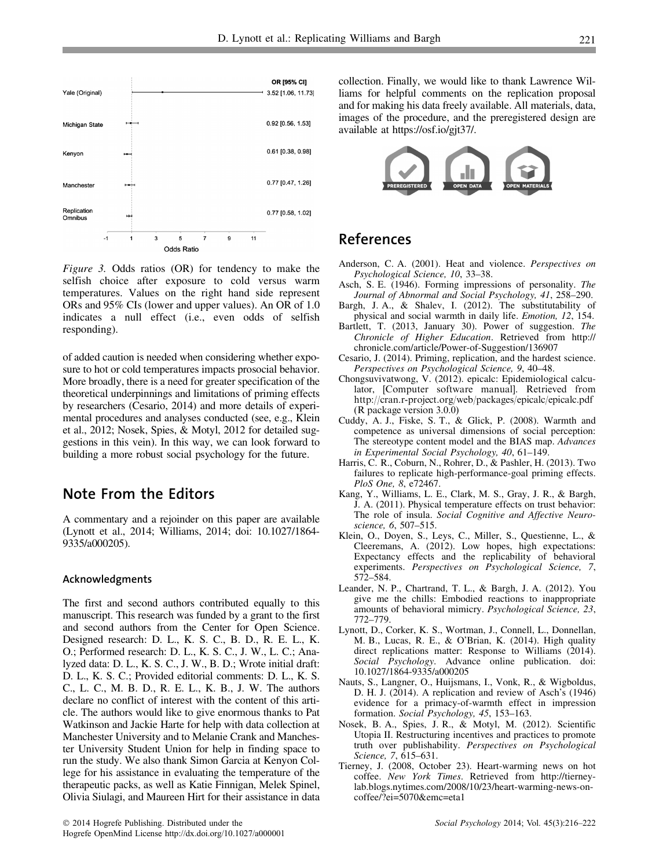

Figure 3. Odds ratios (OR) for tendency to make the selfish choice after exposure to cold versus warm temperatures. Values on the right hand side represent ORs and 95% CIs (lower and upper values). An OR of 1.0 indicates a null effect (i.e., even odds of selfish responding).

of added caution is needed when considering whether exposure to hot or cold temperatures impacts prosocial behavior. More broadly, there is a need for greater specification of the theoretical underpinnings and limitations of priming effects by researchers (Cesario, 2014) and more details of experimental procedures and analyses conducted (see, e.g., Klein et al., 2012; Nosek, Spies, & Motyl, 2012 for detailed suggestions in this vein). In this way, we can look forward to building a more robust social psychology for the future.

## Note From the Editors

A commentary and a rejoinder on this paper are available (Lynott et al., 2014; Williams, 2014; doi: 10.1027/1864- 9335/a000205).

#### Acknowledgments

The first and second authors contributed equally to this manuscript. This research was funded by a grant to the first and second authors from the Center for Open Science. Designed research: D. L., K. S. C., B. D., R. E. L., K. O.; Performed research: D. L., K. S. C., J. W., L. C.; Analyzed data: D. L., K. S. C., J. W., B. D.; Wrote initial draft: D. L., K. S. C.; Provided editorial comments: D. L., K. S. C., L. C., M. B. D., R. E. L., K. B., J. W. The authors declare no conflict of interest with the content of this article. The authors would like to give enormous thanks to Pat Watkinson and Jackie Harte for help with data collection at Manchester University and to Melanie Crank and Manchester University Student Union for help in finding space to run the study. We also thank Simon Garcia at Kenyon College for his assistance in evaluating the temperature of the therapeutic packs, as well as Katie Finnigan, Melek Spinel, Olivia Siulagi, and Maureen Hirt for their assistance in data

collection. Finally, we would like to thank Lawrence Williams for helpful comments on the replication proposal and for making his data freely available. All materials, data, images of the procedure, and the preregistered design are available at https://osf.io/gjt37/.



## References

- Anderson, C. A. (2001). Heat and violence. Perspectives on Psychological Science, 10, 33–38.
- Asch, S. E. (1946). Forming impressions of personality. The Journal of Abnormal and Social Psychology, 41, 258–290.
- Bargh, J. A., & Shalev, I. (2012). The substitutability of physical and social warmth in daily life. Emotion, 12, 154.
- Bartlett, T. (2013, January 30). Power of suggestion. The Chronicle of Higher Education. Retrieved from http:// chronicle.com/article/Power-of-Suggestion/136907
- Cesario, J. (2014). Priming, replication, and the hardest science. Perspectives on Psychological Science, 9, 40–48.
- Chongsuvivatwong, V. (2012). epicalc: Epidemiological calculator, [Computer software manual]. Retrieved from http://cran.r-project.org/web/packages/epicalc/epicalc.pdf (R package version 3.0.0)
- Cuddy, A. J., Fiske, S. T., & Glick, P. (2008). Warmth and competence as universal dimensions of social perception: The stereotype content model and the BIAS map. Advances in Experimental Social Psychology, 40, 61–149.
- Harris, C. R., Coburn, N., Rohrer, D., & Pashler, H. (2013). Two failures to replicate high-performance-goal priming effects. PloS One, 8, e72467.
- Kang, Y., Williams, L. E., Clark, M. S., Gray, J. R., & Bargh, J. A. (2011). Physical temperature effects on trust behavior: The role of insula. Social Cognitive and Affective Neuroscience, 6, 507–515.
- Klein, O., Doyen, S., Leys, C., Miller, S., Questienne, L., & Cleeremans, A. (2012). Low hopes, high expectations: Expectancy effects and the replicability of behavioral experiments. Perspectives on Psychological Science, 7, 572–584.
- Leander, N. P., Chartrand, T. L., & Bargh, J. A. (2012). You give me the chills: Embodied reactions to inappropriate amounts of behavioral mimicry. Psychological Science, 23, 772–779.
- Lynott, D., Corker, K. S., Wortman, J., Connell, L., Donnellan, M. B., Lucas, R. E., & O'Brian, K. (2014). High quality direct replications matter: Response to Williams (2014). Social Psychology. Advance online publication. doi: 10.1027/1864-9335/a000205
- Nauts, S., Langner, O., Huijsmans, I., Vonk, R., & Wigboldus, D. H. J. (2014). A replication and review of Asch's (1946) evidence for a primacy-of-warmth effect in impression formation. Social Psychology, 45, 153–163.
- Nosek, B. A., Spies, J. R., & Motyl, M. (2012). Scientific Utopia II. Restructuring incentives and practices to promote truth over publishability. Perspectives on Psychological Science, 7, 615–631.
- Tierney, J. (2008, October 23). Heart-warming news on hot coffee. New York Times. Retrieved from http://tierneylab.blogs.nytimes.com/2008/10/23/heart-warming-news-oncoffee/?ei=5070&emc=eta1